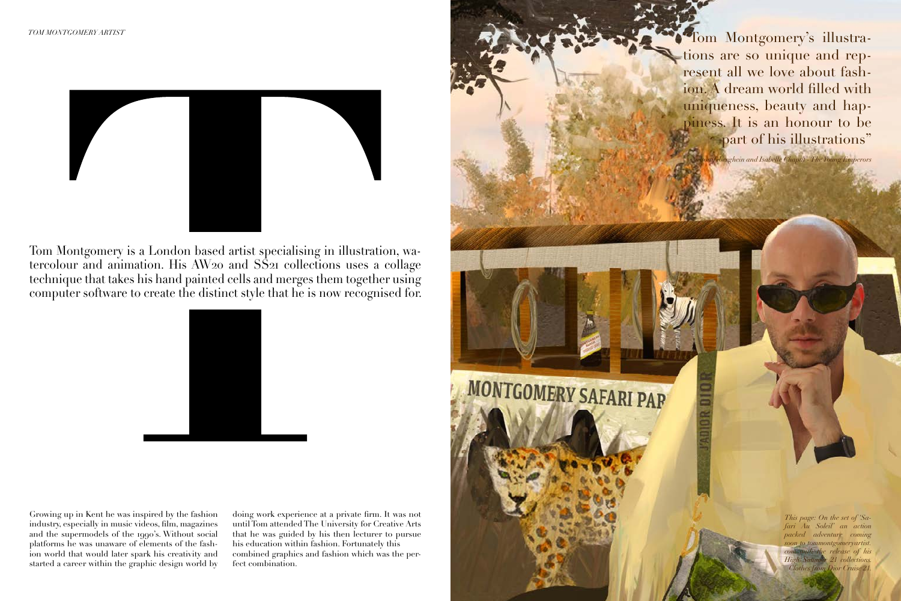

Tom Montgomery is a London based artist specialising in illustration, watercolour and animation. His AW20 and SS21 collections uses a collage technique that takes his hand painted cells and merges them together using computer software to create the distinct style that he is now recognised for.



*This page: On the set of 'Safari Au Soleil' an action packed adventure coming soon to tommontgomeryartist.* with the release of his *High Summer 21 collections. Clothes from Dior Cruise 21.*

"Tom Montgomery's illustrations are so unique and represent all we love about fashion. A dream world filled with uniqueness, beauty and happiness. It is an honour to be part of his illustrations"

Growing up in Kent he was inspired by the fashion industry, especially in music videos, film, magazines and the supermodels of the 1990's. Without social platforms he was unaware of elements of the fashion world that would later spark his creativity and started a career within the graphic design world by doing work experience at a private firm. It was not until Tom attended The University for Creative Arts that he was guided by his then lecturer to pursue his education within fashion. Fortunately this combined graphics and fashion which was the perfect combination.



*Nelson Tiberghein and Isabelle Chaput - The Young Emperors*

## MONTGOMERY SAFARI PAR